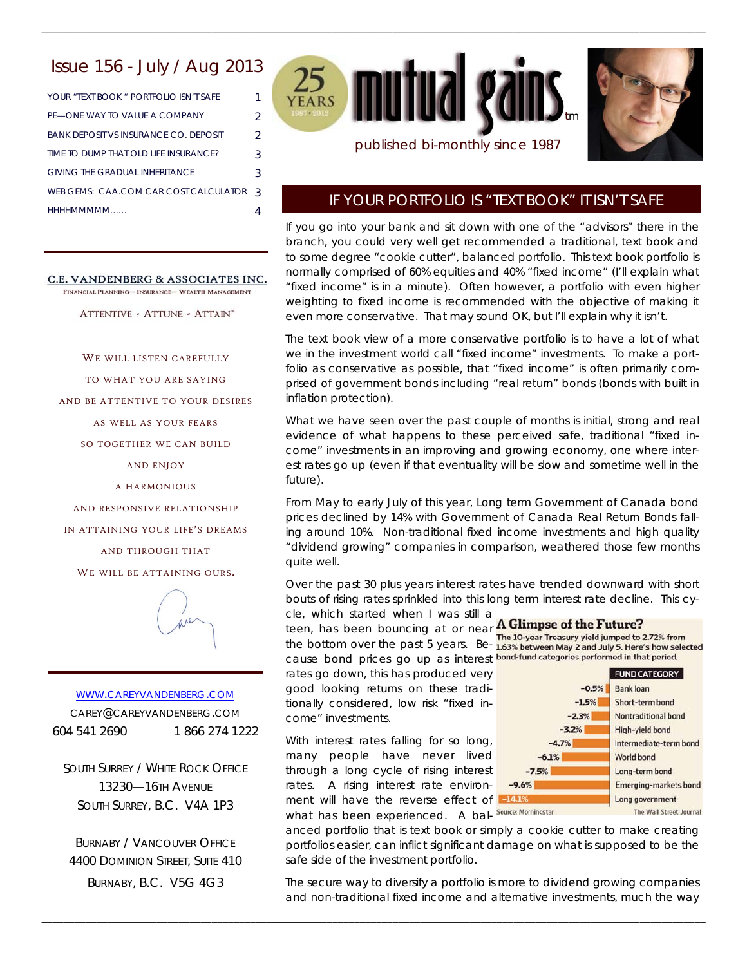# Issue 156 - July / Aug 2013

YOUR "TEXT BOOK " PORTFOLIO ISN'T SAFE 1 PE—ONE WAY TO VALUE A COMPANY 2 BANK DEPOSIT VS INSURANCE CO. DEPOSIT 2 TIME TO DUMP THAT OLD LIFE INSURANCE? 3 GIVING THE GRADUAL INHERITANCE 3 WEB GEMS: CAA.COM CAR COST CALCULATOR 3 HHHHMMMMM…… 4

C.E. VANDENBERG & ASSOCIATES INC.

FINANCIAL PLANNING- INSURANCE- WEALTH MANAGEMENT

ATTENTIVE - ATTUNE - ATTAIN"

WE WILL LISTEN CAREFULLY

TO WHAT YOU ARE SAYING

AND BE ATTENTIVE TO YOUR DESIRES

AS WELL AS YOUR FEARS

SO TOGETHER WE CAN BUILD

AND ENJOY

A HARMONIOUS

AND RESPONSIVE RELATIONSHIP

IN ATTAINING YOUR LIFE'S DREAMS

AND THROUGH THAT

WE WILL BE ATTAINING OURS.



WWW.CAREYVANDENBERG.COM CAREY@CAREYVANDENBERG.COM 604 541 2690 1 866 274 1222

SOUTH SURREY / WHITE ROCK OFFICE 13230—16TH AVENUE SOUTH SURREY, B.C. V4A 1P3

BURNABY / VANCOUVER OFFICE 4400 DOMINION STREET, SUITE 410 BURNABY, B.C. V5G 4G3



\_\_\_\_\_\_\_\_\_\_\_\_\_\_\_\_\_\_\_\_\_\_\_\_\_\_\_\_\_\_\_\_\_\_\_\_\_\_\_\_\_\_\_\_\_\_\_\_\_\_\_\_\_\_\_\_\_\_\_\_\_\_\_\_\_\_\_\_\_\_\_\_\_\_\_\_\_\_\_\_\_\_\_\_\_\_\_\_\_\_\_\_\_\_\_\_\_\_\_\_\_\_\_\_\_\_\_\_\_\_\_\_\_\_\_\_\_\_\_\_\_



### published bi-monthly since 1987

## IF YOUR PORTFOLIO IS "TEXT BOOK" IT ISN'T SAFE

If you go into your bank and sit down with one of the "advisors" there in the branch, you could very well get recommended a traditional, text book and to some degree "cookie cutter", balanced portfolio. This text book portfolio is normally comprised of 60% equities and 40% "fixed income" (I'll explain what "fixed income" is in a minute). Often however, a portfolio with even higher weighting to fixed income is recommended with the objective of making it even more conservative. That may sound OK, but I'll explain why it isn't.

The text book view of a more conservative portfolio is to have a lot of what we in the investment world call "fixed income" investments. To make a portfolio as conservative as possible, that "fixed income" is often primarily comprised of government bonds including "real return" bonds (bonds with built in inflation protection).

What we have seen over the past couple of months is initial, strong and real evidence of what happens to these perceived safe, traditional "fixed income" investments in an improving and growing economy, one where interest rates go up (even if that eventuality will be slow and sometime well in the future).

From May to early July of this year, Long term Government of Canada bond prices declined by 14% with Government of Canada Real Return Bonds falling around 10%. Non-traditional fixed income investments and high quality "dividend growing" companies in comparison, weathered those few months quite well.

Over the past 30 plus years interest rates have trended downward with short bouts of rising rates sprinkled into this long term interest rate decline. This cy-

cle, which started when I was still a teen, has been bouncing at or near A Glimpse of the Future? the bottom over the past 5 years. Be- 163% between May 2 and July 5. Here's how selected cause bond prices go up as interest bond-fund categories performed in that period. rates go down, this has produced very good looking returns on these traditionally considered, low risk "fixed income" investments.

With interest rates falling for so long, many people have never lived through a long cycle of rising interest rates. A rising interest rate environment will have the reverse effect of what has been experienced. A bal- Source: Morningstar

\_\_\_\_\_\_\_\_\_\_\_\_\_\_\_\_\_\_\_\_\_\_\_\_\_\_\_\_\_\_\_\_\_\_\_\_\_\_\_\_\_\_\_\_\_\_\_\_\_\_\_\_\_\_\_\_\_\_\_\_\_\_\_\_\_\_\_\_\_\_\_\_\_\_\_\_\_\_\_\_\_\_\_\_\_\_\_\_\_\_\_\_\_\_\_\_\_\_\_\_\_\_\_\_\_\_\_\_\_\_\_\_\_\_\_\_\_\_\_\_\_



anced portfolio that is text book or simply a cookie cutter to make creating portfolios easier, can inflict significant damage on what is supposed to be the safe side of the investment portfolio.

The secure way to diversify a portfolio is more to dividend growing companies and non-traditional fixed income and alternative investments, much the way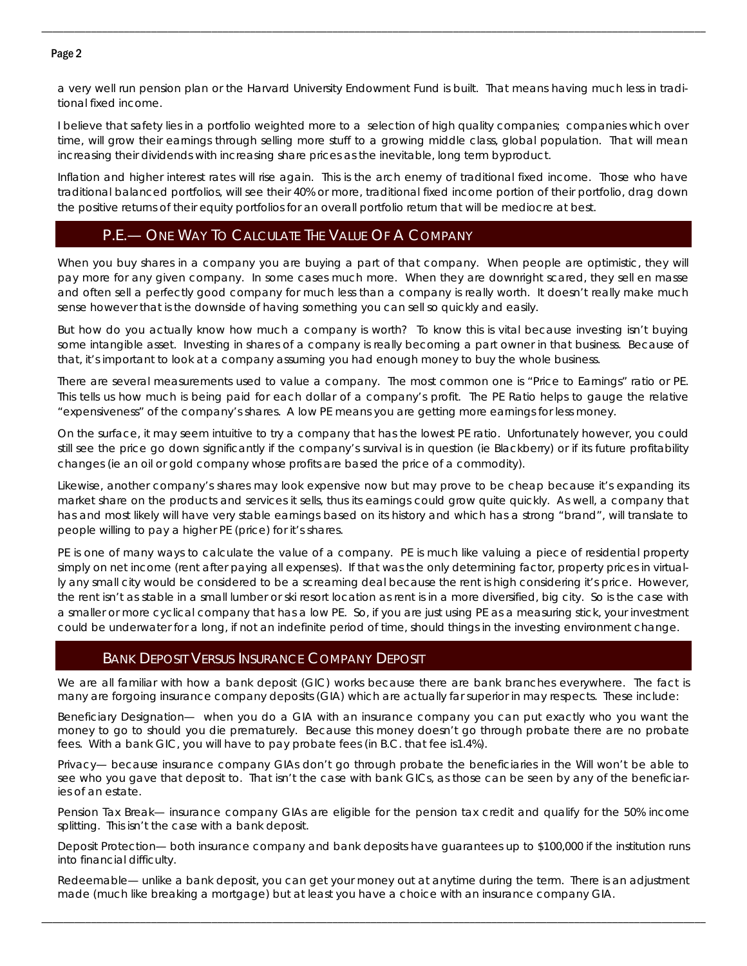### Page 2

a very well run pension plan or the Harvard University Endowment Fund is built. That means having much less in traditional fixed income.

\_\_\_\_\_\_\_\_\_\_\_\_\_\_\_\_\_\_\_\_\_\_\_\_\_\_\_\_\_\_\_\_\_\_\_\_\_\_\_\_\_\_\_\_\_\_\_\_\_\_\_\_\_\_\_\_\_\_\_\_\_\_\_\_\_\_\_\_\_\_\_\_\_\_\_\_\_\_\_\_\_\_\_\_\_\_\_\_\_\_\_\_\_\_\_\_\_\_\_\_\_\_\_\_\_\_\_\_\_\_\_\_\_\_\_\_\_\_\_\_\_

I believe that safety lies in a portfolio weighted more to a selection of high quality companies; companies which over time, will grow their earnings through selling more stuff to a growing middle class, global population. That will mean increasing their dividends with increasing share prices as the inevitable, long term byproduct.

Inflation and higher interest rates will rise again. This is the arch enemy of traditional fixed income. Those who have traditional balanced portfolios, will see their 40% or more, traditional fixed income portion of their portfolio, drag down the positive returns of their equity portfolios for an overall portfolio return that will be mediocre at best.

# P.E.— ONE WAY TO CALCULATE THE VALUE OF A COMPANY

When you buy shares in a company you are buying a part of that company. When people are optimistic, they will pay more for any given company. In some cases much more. When they are downright scared, they sell en masse and often sell a perfectly good company for much less than a company is really worth. It doesn't really make much sense however that is the downside of having something you can sell so quickly and easily.

But how do you actually know how much a company is worth? To know this is vital because investing isn't buying some intangible asset. Investing in shares of a company is really becoming a part owner in that business. Because of that, it's important to look at a company assuming you had enough money to buy the whole business.

There are several measurements used to value a company. The most common one is "Price to Earnings" ratio or PE. This tells us how much is being paid for each dollar of a company's profit. The PE Ratio helps to gauge the relative "expensiveness" of the company's shares. A low PE means you are getting more earnings for less money.

On the surface, it may seem intuitive to try a company that has the lowest PE ratio. Unfortunately however, you could still see the price go down significantly if the company's survival is in question (ie Blackberry) or if its future profitability changes (ie an oil or gold company whose profits are based the price of a commodity).

Likewise, another company's shares may look expensive now but may prove to be cheap because it's expanding its market share on the products and services it sells, thus its earnings could grow quite quickly. As well, a company that has and most likely will have very stable earnings based on its history and which has a strong "brand", will translate to people willing to pay a higher PE (price) for it's shares.

PE is one of many ways to calculate the value of a company. PE is much like valuing a piece of residential property simply on net income (rent after paying all expenses). If that was the only determining factor, property prices in virtually any small city would be considered to be a screaming deal because the rent is high considering it's price. However, the rent isn't as stable in a small lumber or ski resort location as rent is in a more diversified, big city. So is the case with a smaller or more cyclical company that has a low PE. So, if you are just using PE as a measuring stick, your investment could be underwater for a long, if not an indefinite period of time, should things in the investing environment change.

### BANK DEPOSIT VERSUS INSURANCE COMPANY DEPOSIT

We are all familiar with how a bank deposit (GIC) works because there are bank branches everywhere. The fact is many are forgoing insurance company deposits (GIA) which are actually far superior in may respects. These include:

Beneficiary Designation— when you do a GIA with an insurance company you can put exactly who you want the money to go to should you die prematurely. Because this money doesn't go through probate there are no probate fees. With a bank GIC, you will have to pay probate fees (in B.C. that fee is1.4%).

Privacy— because insurance company GIAs don't go through probate the beneficiaries in the Will won't be able to see who you gave that deposit to. That isn't the case with bank GICs, as those can be seen by any of the beneficiaries of an estate.

Pension Tax Break— insurance company GIAs are eligible for the pension tax credit and qualify for the 50% income splitting. This isn't the case with a bank deposit.

Deposit Protection— both insurance company and bank deposits have guarantees up to \$100,000 if the institution runs into financial difficulty.

Redeemable— unlike a bank deposit, you can get your money out at anytime during the term. There is an adjustment made (much like breaking a mortgage) but at least you have a choice with an insurance company GIA.

\_\_\_\_\_\_\_\_\_\_\_\_\_\_\_\_\_\_\_\_\_\_\_\_\_\_\_\_\_\_\_\_\_\_\_\_\_\_\_\_\_\_\_\_\_\_\_\_\_\_\_\_\_\_\_\_\_\_\_\_\_\_\_\_\_\_\_\_\_\_\_\_\_\_\_\_\_\_\_\_\_\_\_\_\_\_\_\_\_\_\_\_\_\_\_\_\_\_\_\_\_\_\_\_\_\_\_\_\_\_\_\_\_\_\_\_\_\_\_\_\_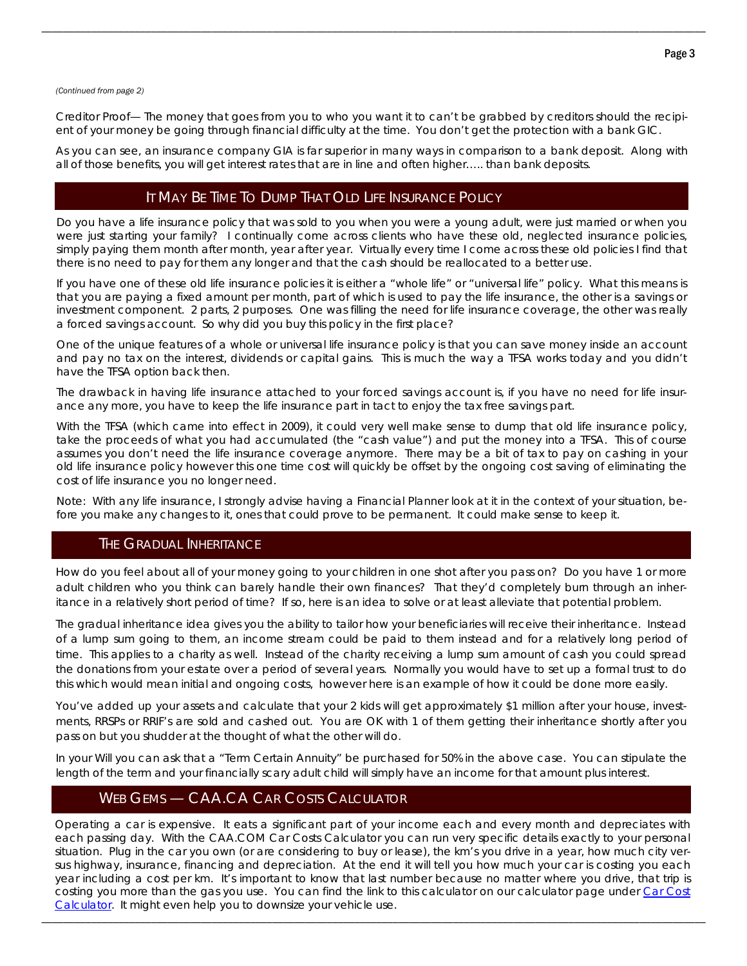#### *(Continued from page 2)*

Creditor Proof— The money that goes from you to who you want it to can't be grabbed by creditors should the recipient of your money be going through financial difficulty at the time. You don't get the protection with a bank GIC.

\_\_\_\_\_\_\_\_\_\_\_\_\_\_\_\_\_\_\_\_\_\_\_\_\_\_\_\_\_\_\_\_\_\_\_\_\_\_\_\_\_\_\_\_\_\_\_\_\_\_\_\_\_\_\_\_\_\_\_\_\_\_\_\_\_\_\_\_\_\_\_\_\_\_\_\_\_\_\_\_\_\_\_\_\_\_\_\_\_\_\_\_\_\_\_\_\_\_\_\_\_\_\_\_\_\_\_\_\_\_\_\_\_\_\_\_\_\_\_\_\_

As you can see, an insurance company GIA is far superior in many ways in comparison to a bank deposit. Along with all of those benefits, you will get interest rates that are in line and often higher….. than bank deposits.

### IT MAY BE TIME TO DUMP THAT OLD LIFE INSURANCE POLICY

Do you have a life insurance policy that was sold to you when you were a young adult, were just married or when you were just starting your family? I continually come across clients who have these old, neglected insurance policies, simply paying them month after month, year after year. Virtually every time I come across these old policies I find that there is no need to pay for them any longer and that the cash should be reallocated to a better use.

If you have one of these old life insurance policies it is either a "whole life" or "universal life" policy. What this means is that you are paying a fixed amount per month, part of which is used to pay the life insurance, the other is a savings or investment component. 2 parts, 2 purposes. One was filling the need for life insurance coverage, the other was really a forced savings account. So why did you buy this policy in the first place?

One of the unique features of a whole or universal life insurance policy is that you can save money inside an account and pay no tax on the interest, dividends or capital gains. This is much the way a TFSA works today and you didn't have the TFSA option back then.

The drawback in having life insurance attached to your forced savings account is, if you have no need for life insurance any more, you have to keep the life insurance part in tact to enjoy the tax free savings part.

With the TFSA (which came into effect in 2009), it could very well make sense to dump that old life insurance policy, take the proceeds of what you had accumulated (the "cash value") and put the money into a TFSA. This of course assumes you don't need the life insurance coverage anymore. There may be a bit of tax to pay on cashing in your old life insurance policy however this one time cost will quickly be offset by the ongoing cost saving of eliminating the cost of life insurance you no longer need.

Note: With any life insurance, I strongly advise having a Financial Planner look at it in the context of your situation, before you make any changes to it, ones that could prove to be permanent. It could make sense to keep it.

## THE GRADUAL INHERITANCE

How do you feel about all of your money going to your children in one shot after you pass on? Do you have 1 or more adult children who you think can barely handle their own finances? That they'd completely burn through an inheritance in a relatively short period of time? If so, here is an idea to solve or at least alleviate that potential problem.

The gradual inheritance idea gives you the ability to tailor how your beneficiaries will receive their inheritance. Instead of a lump sum going to them, an income stream could be paid to them instead and for a relatively long period of time. This applies to a charity as well. Instead of the charity receiving a lump sum amount of cash you could spread the donations from your estate over a period of several years. Normally you would have to set up a formal trust to do this which would mean initial and ongoing costs, however here is an example of how it could be done more easily.

You've added up your assets and calculate that your 2 kids will get approximately \$1 million after your house, investments, RRSPs or RRIF's are sold and cashed out. You are OK with 1 of them getting their inheritance shortly after you pass on but you shudder at the thought of what the other will do.

In your Will you can ask that a "Term Certain Annuity" be purchased for 50% in the above case. You can stipulate the length of the term and your financially scary adult child will simply have an income for that amount plus interest.

# WEB GEMS — CAA.CA CAR COSTS CALCULATOR

Operating a car is expensive. It eats a significant part of your income each and every month and depreciates with each passing day. With the CAA.COM Car Costs Calculator you can run very specific details exactly to your personal situation. Plug in the car you own (or are considering to buy or lease), the km's you drive in a year, how much city versus highway, insurance, financing and depreciation. At the end it will tell you how much your car is costing you each year including a cost per km. It's important to know that last number because no matter where you drive, that trip is costing you more than the gas you use. You can find the link to this calculator on our calculator page under Car Cost Calculator. It might even help you to downsize your vehicle use.

\_\_\_\_\_\_\_\_\_\_\_\_\_\_\_\_\_\_\_\_\_\_\_\_\_\_\_\_\_\_\_\_\_\_\_\_\_\_\_\_\_\_\_\_\_\_\_\_\_\_\_\_\_\_\_\_\_\_\_\_\_\_\_\_\_\_\_\_\_\_\_\_\_\_\_\_\_\_\_\_\_\_\_\_\_\_\_\_\_\_\_\_\_\_\_\_\_\_\_\_\_\_\_\_\_\_\_\_\_\_\_\_\_\_\_\_\_\_\_\_\_